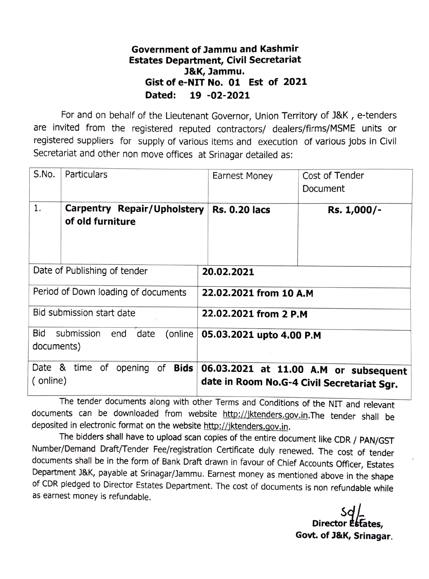## Government of Jammu and Kashmir Estates Department, Civil Secretariat J&K, Jammu. Gist of e-NIT No. 01 Est of 2021 Dated: 19 -02-2021

For and on behalf of the Lieutenant Governor, Union Territory of J&K, e-tenders are invited from the registered reputed contractors/ dealers/firms/MSME units or registered suppliers for supply of various items and execution of various jobs in Civil Secretariat and other non move offices at Srinagar detailed as:

| S.No.                                                             | Particulars                                            | <b>Earnest Money</b>                                                                | Cost of Tender<br>Document |
|-------------------------------------------------------------------|--------------------------------------------------------|-------------------------------------------------------------------------------------|----------------------------|
| 1.                                                                | <b>Carpentry Repair/Upholstery</b><br>of old furniture | <b>Rs. 0.20 lacs</b>                                                                | Rs. 1,000/-                |
| Date of Publishing of tender                                      |                                                        | 20.02.2021                                                                          |                            |
| Period of Down loading of documents                               |                                                        | 22.02.2021 from 10 A.M                                                              |                            |
| Bid submission start date                                         |                                                        | 22.02.2021 from 2 P.M                                                               |                            |
| <b>Bid</b><br>submission<br>end<br>date<br>(online)<br>documents) |                                                        | 05.03.2021 upto 4.00 P.M                                                            |                            |
| Date & time of opening of<br><b>Bids</b><br>(online)              |                                                        | 06.03.2021 at 11.00 A.M or subsequent<br>date in Room No.G-4 Civil Secretariat Sgr. |                            |

The tender documents along with other Terms and Conditions of the NIT and relevant documents can be downloaded from website http://jktenders.gov.in.The tender shall be deposited in electronic format on the website http://jktenders.gov.in.

The bidders shall have to upload scan copies of the entire document like CDR / PAN/GST Number/Demand Draft/Tender Fee/registration Certificate duly renewed. The cost of tender documents shall be in the form of Bank Draft drawn in favour of Chief Accounts Officer, Estates<br>Department J&K, payable at Srinagar/Jammu. Earnest money as mentioned above in the shape of CDR pledged to Director Estates Department. The cost of documents is non refundable while as earnest money is refundable.

> $\frac{S}{\sqrt{2}}$ Director Estates, Govt. of J&K, Srinagar.